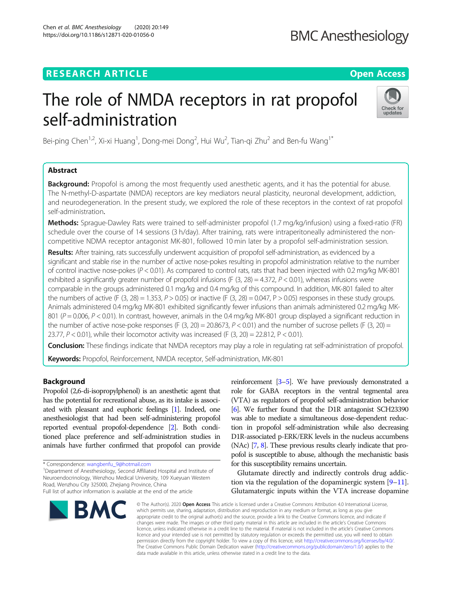# **BMC Anesthesiology**

# **RESEARCH ARTICLE Example 2014 12:30 The Contract of Contract ACCESS**

# The role of NMDA receptors in rat propofol self-administration



Bei-ping Chen $^{1,2}$ , Xi-xi Huang $^{1}$ , Dong-mei Dong $^{2}$ , Hui Wu $^{2}$ , Tian-qi Zhu $^{2}$  and Ben-fu Wang $^{1^{\ast}}$ 

# Abstract

**Background:** Propofol is among the most frequently used anesthetic agents, and it has the potential for abuse. The N-methyl-D-aspartate (NMDA) receptors are key mediators neural plasticity, neuronal development, addiction, and neurodegeneration. In the present study, we explored the role of these receptors in the context of rat propofol self-administration.

Methods: Sprague-Dawley Rats were trained to self-administer propofol (1.7 mg/kg/infusion) using a fixed-ratio (FR) schedule over the course of 14 sessions (3 h/day). After training, rats were intraperitoneally administered the noncompetitive NDMA receptor antagonist MK-801, followed 10 min later by a propofol self-administration session.

Results: After training, rats successfully underwent acquisition of propofol self-administration, as evidenced by a significant and stable rise in the number of active nose-pokes resulting in propofol administration relative to the number of control inactive nose-pokes (P < 0.01). As compared to control rats, rats that had been injected with 0.2 mg/kg MK-801 exhibited a significantly greater number of propofol infusions (F  $(3, 28) = 4.372$ ,  $P < 0.01$ ), whereas infusions were comparable in the groups administered 0.1 mg/kg and 0.4 mg/kg of this compound. In addition, MK-801 failed to alter the numbers of active (F (3, 28) = 1.353,  $P > 0.05$ ) or inactive (F (3, 28) = 0.047, P  $> 0.05$ ) responses in these study groups. Animals administered 0.4 mg/kg MK-801 exhibited significantly fewer infusions than animals administered 0.2 mg/kg MK-801 ( $P = 0.006$ ,  $P < 0.01$ ). In contrast, however, animals in the 0.4 mg/kg MK-801 group displayed a significant reduction in the number of active nose-poke responses (F  $(3, 20) = 20.8673$ ,  $P < 0.01$ ) and the number of sucrose pellets (F  $(3, 20) =$ 23.77,  $P < 0.01$ ), while their locomotor activity was increased (F (3, 20) = 22.812, P < 0.01).

Conclusion: These findings indicate that NMDA receptors may play a role in regulating rat self-administration of propofol.

Keywords: Propofol, Reinforcement, NMDA receptor, Self-administration, MK-801

# **Background**

Propofol (2,6-di-isopropylphenol) is an anesthetic agent that has the potential for recreational abuse, as its intake is associated with pleasant and euphoric feelings [\[1\]](#page-7-0). Indeed, one anesthesiologist that had been self-administering propofol reported eventual propofol-dependence [\[2\]](#page-7-0). Both conditioned place preference and self-administration studies in animals have further confirmed that propofol can provide

<sup>1</sup>Department of Anesthesiology, Second Affiliated Hospital and Institute of Neuroendocrinology, Wenzhou Medical University, 109 Xueyuan Western Road, Wenzhou City 325000, Zhejiang Province, China Full list of author information is available at the end of the article



reinforcement [[3](#page-7-0)–[5](#page-7-0)]. We have previously demonstrated a role for GABA receptors in the ventral tegmental area (VTA) as regulators of propofol self-administration behavior [[6](#page-7-0)]. We further found that the D1R antagonist SCH23390 was able to mediate a simultaneous dose-dependent reduction in propofol self-administration while also decreasing D1R-associated p-ERK/ERK levels in the nucleus accumbens (NAc) [\[7,](#page-7-0) [8](#page-7-0)]. These previous results clearly indicate that propofol is susceptible to abuse, although the mechanistic basis for this susceptibility remains uncertain.

Glutamate directly and indirectly controls drug addiction via the regulation of the dopaminergic system  $[9-11]$  $[9-11]$  $[9-11]$  $[9-11]$ . Glutamatergic inputs within the VTA increase dopamine

© The Author(s), 2020 **Open Access** This article is licensed under a Creative Commons Attribution 4.0 International License, which permits use, sharing, adaptation, distribution and reproduction in any medium or format, as long as you give appropriate credit to the original author(s) and the source, provide a link to the Creative Commons licence, and indicate if changes were made. The images or other third party material in this article are included in the article's Creative Commons licence, unless indicated otherwise in a credit line to the material. If material is not included in the article's Creative Commons licence and your intended use is not permitted by statutory regulation or exceeds the permitted use, you will need to obtain permission directly from the copyright holder. To view a copy of this licence, visit [http://creativecommons.org/licenses/by/4.0/.](http://creativecommons.org/licenses/by/4.0/) The Creative Commons Public Domain Dedication waiver [\(http://creativecommons.org/publicdomain/zero/1.0/](http://creativecommons.org/publicdomain/zero/1.0/)) applies to the data made available in this article, unless otherwise stated in a credit line to the data.

<sup>\*</sup> Correspondence: [wangbenfu\\_9@hotmail.com](mailto:wangbenfu_9@hotmail.com) <sup>1</sup>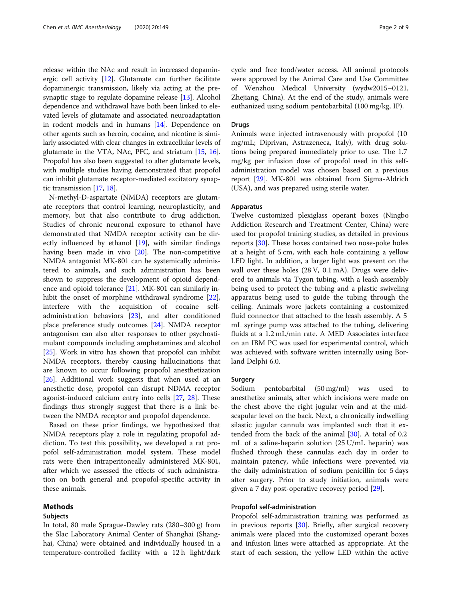release within the NAc and result in increased dopaminergic cell activity  $[12]$ . Glutamate can further facilitate dopaminergic transmission, likely via acting at the presynaptic stage to regulate dopamine release [[13](#page-7-0)]. Alcohol dependence and withdrawal have both been linked to elevated levels of glutamate and associated neuroadaptation in rodent models and in humans [\[14\]](#page-7-0). Dependence on other agents such as heroin, cocaine, and nicotine is similarly associated with clear changes in extracellular levels of glutamate in the VTA, NAc, PFC, and striatum [\[15,](#page-7-0) [16](#page-7-0)]. Propofol has also been suggested to alter glutamate levels, with multiple studies having demonstrated that propofol can inhibit glutamate receptor-mediated excitatory synaptic transmission [[17](#page-7-0), [18\]](#page-7-0).

N-methyl-D-aspartate (NMDA) receptors are glutamate receptors that control learning, neuroplasticity, and memory, but that also contribute to drug addiction. Studies of chronic neuronal exposure to ethanol have demonstrated that NMDA receptor activity can be directly influenced by ethanol [[19\]](#page-7-0), with similar findings having been made in vivo [[20\]](#page-7-0). The non-competitive NMDA antagonist MK-801 can be systemically administered to animals, and such administration has been shown to suppress the development of opioid dependence and opioid tolerance [[21\]](#page-7-0). MK-801 can similarly in-hibit the onset of morphine withdrawal syndrome [\[22](#page-7-0)], interfere with the acquisition of cocaine selfadministration behaviors [\[23](#page-7-0)], and alter conditioned place preference study outcomes [\[24\]](#page-7-0). NMDA receptor antagonism can also alter responses to other psychostimulant compounds including amphetamines and alcohol [[25\]](#page-7-0). Work in vitro has shown that propofol can inhibit NMDA receptors, thereby causing hallucinations that are known to occur following propofol anesthetization [[26\]](#page-7-0). Additional work suggests that when used at an anesthetic dose, propofol can disrupt NDMA receptor agonist-induced calcium entry into cells [\[27](#page-7-0), [28\]](#page-7-0). These findings thus strongly suggest that there is a link between the NMDA receptor and propofol dependence.

Based on these prior findings, we hypothesized that NMDA receptors play a role in regulating propofol addiction. To test this possibility, we developed a rat propofol self-administration model system. These model rats were then intraperitoneally administered MK-801, after which we assessed the effects of such administration on both general and propofol-specific activity in these animals.

# Methods

# Subjects

In total, 80 male Sprague-Dawley rats (280–300 g) from the Slac Laboratory Animal Center of Shanghai (Shanghai, China) were obtained and individually housed in a temperature-controlled facility with a 12 h light/dark

cycle and free food/water access. All animal protocols were approved by the Animal Care and Use Committee of Wenzhou Medical University (wydw2015–0121, Zhejiang, China). At the end of the study, animals were euthanized using sodium pentobarbital (100 mg/kg, IP).

### Drugs

Animals were injected intravenously with propofol (10 mg/mL; Diprivan, Astrazeneca, Italy), with drug solutions being prepared immediately prior to use. The 1.7 mg/kg per infusion dose of propofol used in this selfadministration model was chosen based on a previous report [[29](#page-7-0)]. MK-801 was obtained from Sigma-Aldrich (USA), and was prepared using sterile water.

# Apparatus

Twelve customized plexiglass operant boxes (Ningbo Addiction Research and Treatment Center, China) were used for propofol training studies, as detailed in previous reports [[30\]](#page-7-0). These boxes contained two nose-poke holes at a height of 5 cm, with each hole containing a yellow LED light. In addition, a larger light was present on the wall over these holes (28 V, 0.1 mA). Drugs were delivered to animals via Tygon tubing, with a leash assembly being used to protect the tubing and a plastic swiveling apparatus being used to guide the tubing through the ceiling. Animals wore jackets containing a customized fluid connector that attached to the leash assembly. A 5 mL syringe pump was attached to the tubing, delivering fluids at a 1.2 mL/min rate. A MED Associates interface on an IBM PC was used for experimental control, which was achieved with software written internally using Borland Delphi 6.0.

# Surgery

Sodium pentobarbital (50 mg/ml) was used to anesthetize animals, after which incisions were made on the chest above the right jugular vein and at the midscapular level on the back. Next, a chronically indwelling silastic jugular cannula was implanted such that it extended from the back of the animal [\[30](#page-7-0)]. A total of 0.2 mL of a saline-heparin solution (25 U/mL heparin) was flushed through these cannulas each day in order to maintain patency, while infections were prevented via the daily administration of sodium penicillin for 5 days after surgery. Prior to study initiation, animals were given a 7 day post-operative recovery period [\[29](#page-7-0)].

# Propofol self-administration

Propofol self-administration training was performed as in previous reports [[30\]](#page-7-0). Briefly, after surgical recovery animals were placed into the customized operant boxes and infusion lines were attached as appropriate. At the start of each session, the yellow LED within the active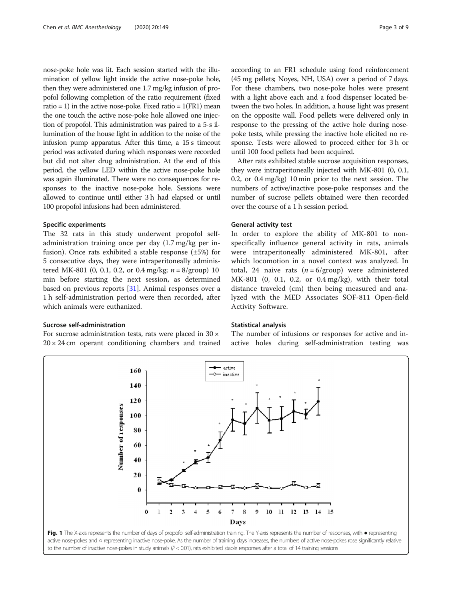<span id="page-2-0"></span>nose-poke hole was lit. Each session started with the illumination of yellow light inside the active nose-poke hole, then they were administered one 1.7 mg/kg infusion of propofol following completion of the ratio requirement (fixed ratio = 1) in the active nose-poke. Fixed ratio =  $1$ (FR1) mean the one touch the active nose-poke hole allowed one injection of propofol. This administration was paired to a 5-s illumination of the house light in addition to the noise of the infusion pump apparatus. After this time, a 15 s timeout period was activated during which responses were recorded but did not alter drug administration. At the end of this period, the yellow LED within the active nose-poke hole was again illuminated. There were no consequences for responses to the inactive nose-poke hole. Sessions were allowed to continue until either 3 h had elapsed or until 100 propofol infusions had been administered.

# Specific experiments

The 32 rats in this study underwent propofol selfadministration training once per day (1.7 mg/kg per infusion). Once rats exhibited a stable response  $(\pm 5\%)$  for 5 consecutive days, they were intraperitoneally administered MK-801 (0, 0.1, 0.2, or 0.4 mg/kg;  $n = 8$ /group) 10 min before starting the next session, as determined based on previous reports [\[31](#page-7-0)]. Animal responses over a 1 h self-administration period were then recorded, after which animals were euthanized.

# Sucrose self-administration

For sucrose administration tests, rats were placed in 30 ×  $20 \times 24$  cm operant conditioning chambers and trained according to an FR1 schedule using food reinforcement (45 mg pellets; Noyes, NH, USA) over a period of 7 days. For these chambers, two nose-poke holes were present with a light above each and a food dispenser located between the two holes. In addition, a house light was present on the opposite wall. Food pellets were delivered only in response to the pressing of the active hole during nosepoke tests, while pressing the inactive hole elicited no response. Tests were allowed to proceed either for 3 h or until 100 food pellets had been acquired.

After rats exhibited stable sucrose acquisition responses, they were intraperitoneally injected with MK-801 (0, 0.1, 0.2, or 0.4 mg/kg) 10 min prior to the next session. The numbers of active/inactive pose-poke responses and the number of sucrose pellets obtained were then recorded over the course of a 1 h session period.

# General activity test

In order to explore the ability of MK-801 to nonspecifically influence general activity in rats, animals were intraperitoneally administered MK-801, after which locomotion in a novel context was analyzed. In total, 24 naive rats  $(n = 6/\text{group})$  were administered MK-801 (0, 0.1, 0.2, or 0.4 mg/kg), with their total distance traveled (cm) then being measured and analyzed with the MED Associates SOF-811 Open-field Activity Software.

# Statistical analysis

The number of infusions or responses for active and inactive holes during self-administration testing was

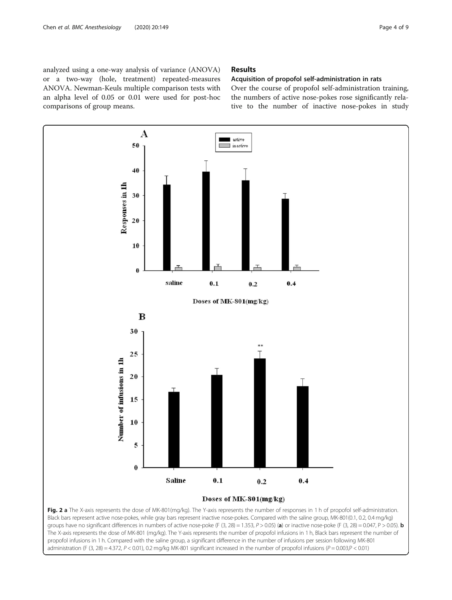<span id="page-3-0"></span>analyzed using a one-way analysis of variance (ANOVA) or a two-way (hole, treatment) repeated-measures ANOVA. Newman-Keuls multiple comparison tests with an alpha level of 0.05 or 0.01 were used for post-hoc comparisons of group means.

# Results

# Acquisition of propofol self-administration in rats

Over the course of propofol self-administration training, the numbers of active nose-pokes rose significantly relative to the number of inactive nose-pokes in study



administration (F (3, 28) = 4.372, P < 0.01), 0.2 mg/kg MK-801 significant increased in the number of propofol infusions (P = 0.003,P < 0.01)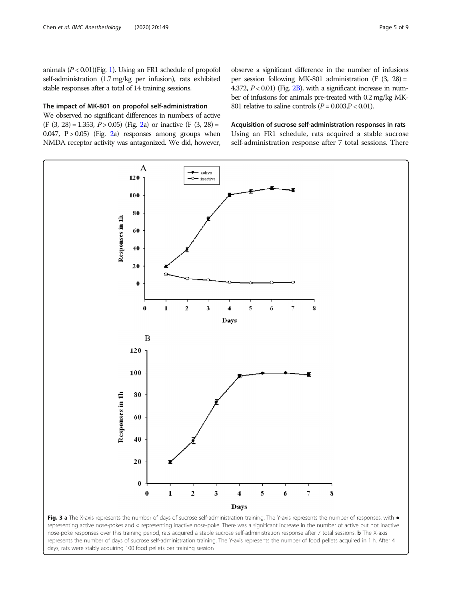<span id="page-4-0"></span>animals  $(P < 0.01)$  $(P < 0.01)$  $(P < 0.01)$ (Fig. 1). Using an FR1 schedule of propofol self-administration (1.7 mg/kg per infusion), rats exhibited stable responses after a total of 14 training sessions.

# The impact of MK-801 on propofol self-administration

We observed no significant differences in numbers of active  $(F (3, 28) = 1.353, P > 0.05)$  $(F (3, 28) = 1.353, P > 0.05)$  $(F (3, 28) = 1.353, P > 0.05)$  (Fig. 2a) or inactive  $(F (3, 28) =$ 0.047,  $P > 0.05$ ) (Fig. [2a](#page-3-0)) responses among groups when NMDA receptor activity was antagonized. We did, however, observe a significant difference in the number of infusions per session following MK-801 administration (F (3, 28) = 4.372,  $P < 0.01$ ) (Fig. [2B\)](#page-3-0), with a significant increase in number of infusions for animals pre-treated with 0.2 mg/kg MK-801 relative to saline controls  $(P = 0.003, P < 0.01)$ .

Acquisition of sucrose self-administration responses in rats Using an FR1 schedule, rats acquired a stable sucrose self-administration response after 7 total sessions. There



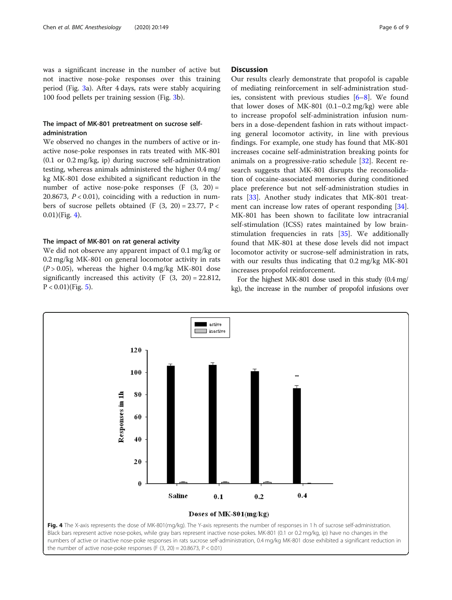<span id="page-5-0"></span>was a significant increase in the number of active but not inactive nose-poke responses over this training period (Fig. [3](#page-4-0)a). After 4 days, rats were stably acquiring 100 food pellets per training session (Fig. [3](#page-4-0)b).

# The impact of MK-801 pretreatment on sucrose selfadministration

We observed no changes in the numbers of active or inactive nose-poke responses in rats treated with MK-801 (0.1 or 0.2 mg/kg, ip) during sucrose self-administration testing, whereas animals administered the higher 0.4 mg/ kg MK-801 dose exhibited a significant reduction in the number of active nose-poke responses  $(F (3, 20) =$ 20.8673,  $P < 0.01$ ), coinciding with a reduction in numbers of sucrose pellets obtained (F  $(3, 20) = 23.77$ , P < 0.01)(Fig. 4).

# The impact of MK-801 on rat general activity

We did not observe any apparent impact of 0.1 mg/kg or 0.2 mg/kg MK-801 on general locomotor activity in rats  $(P > 0.05)$ , whereas the higher 0.4 mg/kg MK-801 dose significantly increased this activity  $(F (3, 20) = 22.812,$  $P < 0.01$ )(Fig. [5](#page-6-0)).

# **Discussion**

Our results clearly demonstrate that propofol is capable of mediating reinforcement in self-administration studies, consistent with previous studies [[6](#page-7-0)–[8\]](#page-7-0). We found that lower doses of MK-801 (0.1–0.2 mg/kg) were able to increase propofol self-administration infusion numbers in a dose-dependent fashion in rats without impacting general locomotor activity, in line with previous findings. For example, one study has found that MK-801 increases cocaine self-administration breaking points for animals on a progressive-ratio schedule [[32](#page-7-0)]. Recent research suggests that MK-801 disrupts the reconsolidation of cocaine-associated memories during conditioned place preference but not self-administration studies in rats [\[33\]](#page-7-0). Another study indicates that MK-801 treatment can increase low rates of operant responding [\[34](#page-7-0)]. MK-801 has been shown to facilitate low intracranial self-stimulation (ICSS) rates maintained by low brainstimulation frequencies in rats [[35\]](#page-7-0). We additionally found that MK-801 at these dose levels did not impact locomotor activity or sucrose-self administration in rats, with our results thus indicating that 0.2 mg/kg MK-801 increases propofol reinforcement.

For the highest MK-801 dose used in this study (0.4 mg/ kg), the increase in the number of propofol infusions over

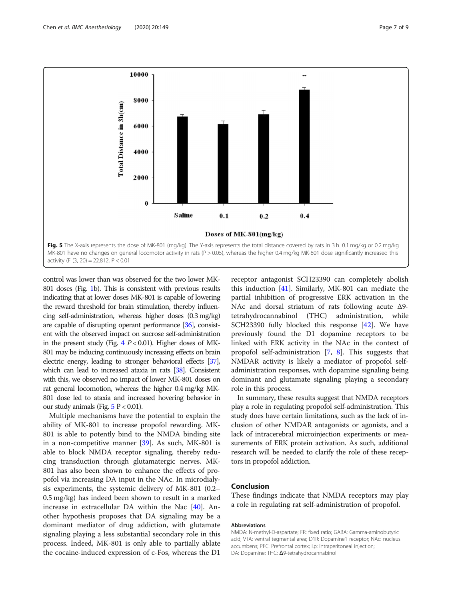<span id="page-6-0"></span>

control was lower than was observed for the two lower MK-801 doses (Fig. [1b](#page-2-0)). This is consistent with previous results indicating that at lower doses MK-801 is capable of lowering the reward threshold for brain stimulation, thereby influencing self-administration, whereas higher doses (0.3 mg/kg) are capable of disrupting operant performance [\[36\]](#page-7-0), consistent with the observed impact on sucrose self-administration in the present study (Fig.  $4 P < 0.01$  $4 P < 0.01$ ). Higher doses of MK-801 may be inducing continuously increasing effects on brain electric energy, leading to stronger behavioral effects [\[37\]](#page-8-0), which can lead to increased ataxia in rats [[38\]](#page-8-0). Consistent with this, we observed no impact of lower MK-801 doses on rat general locomotion, whereas the higher 0.4 mg/kg MK-801 dose led to ataxia and increased hovering behavior in our study animals (Fig.  $5 P < 0.01$ ).

Multiple mechanisms have the potential to explain the ability of MK-801 to increase propofol rewarding. MK-801 is able to potently bind to the NMDA binding site in a non-competitive manner [\[39](#page-8-0)]. As such, MK-801 is able to block NMDA receptor signaling, thereby reducing transduction through glutamatergic nerves. MK-801 has also been shown to enhance the effects of propofol via increasing DA input in the NAc. In microdialysis experiments, the systemic delivery of MK-801 (0.2– 0.5 mg/kg) has indeed been shown to result in a marked increase in extracellular DA within the Nac [[40](#page-8-0)]. Another hypothesis proposes that DA signaling may be a dominant mediator of drug addiction, with glutamate signaling playing a less substantial secondary role in this process. Indeed, MK-801 is only able to partially ablate the cocaine-induced expression of c-Fos, whereas the D1

receptor antagonist SCH23390 can completely abolish this induction [\[41](#page-8-0)]. Similarly, MK-801 can mediate the partial inhibition of progressive ERK activation in the NAc and dorsal striatum of rats following acute Δ9 tetrahydrocannabinol (THC) administration, while SCH23390 fully blocked this response [\[42](#page-8-0)]. We have previously found the D1 dopamine receptors to be linked with ERK activity in the NAc in the context of propofol self-administration [[7,](#page-7-0) [8](#page-7-0)]. This suggests that NMDAR activity is likely a mediator of propofol selfadministration responses, with dopamine signaling being dominant and glutamate signaling playing a secondary role in this process.

In summary, these results suggest that NMDA receptors play a role in regulating propofol self-administration. This study does have certain limitations, such as the lack of inclusion of other NMDAR antagonists or agonists, and a lack of intracerebral microinjection experiments or measurements of ERK protein activation. As such, additional research will be needed to clarify the role of these receptors in propofol addiction.

# Conclusion

These findings indicate that NMDA receptors may play a role in regulating rat self-administration of propofol.

#### Abbreviations

NMDA: N-methyl-D-aspartate; FR: fixed ratio; GABA: Gamma-aminobutyric acid; VTA: ventral tegmental area; D1R: Dopamine1 receptor; NAc: nucleus accumbens; PFC: Prefrontal cortex; I.p: Intraperitoneal injection; DA: Dopamine; THC: Δ9-tetrahydrocannabinol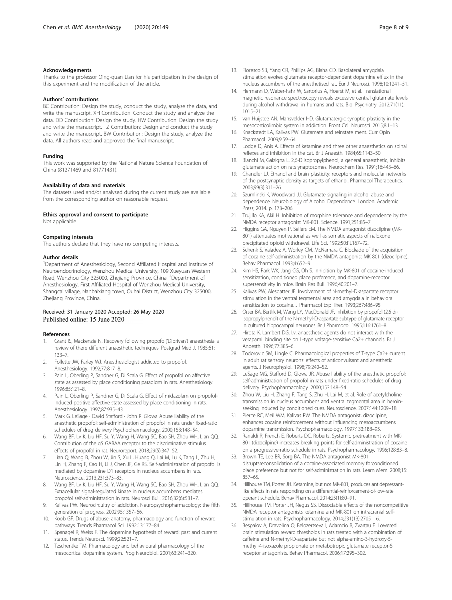# <span id="page-7-0"></span>Acknowledgements

Thanks to the professor Qing-quan Lian for his participation in the design of this experiment and the modification of the article.

#### Authors' contributions

BC Contribution: Design the study, conduct the study, analyse the data, and write the manuscript. XH Contribution: Conduct the study and analyze the data. DD Contribution: Design the study. HW Contribution: Design the study and write the manuscript. TZ Contribution: Design and conduct the study and write the manuscript. BW Contribution: Design the study, analyze the data. All authors read and approved the final manuscript.

# Funding

This work was supported by the National Nature Science Foundation of China (81271469 and 81771431).

# Availability of data and materials

The datasets used and/or analysed during the current study are available from the corresponding author on reasonable request.

# Ethics approval and consent to participate

Not applicable.

#### Competing interests

The authors declare that they have no competing interests.

#### Author details

<sup>1</sup>Department of Anesthesiology, Second Affiliated Hospital and Institute of Neuroendocrinology, Wenzhou Medical University, 109 Xueyuan Western Road, Wenzhou City 325000, Zhejiang Province, China. <sup>2</sup>Department of Anesthesiology, First Affiliated Hospital of Wenzhou Medical University, Shangcai village, Nanbaixiang town, Ouhai District, Wenzhou City 325000, Zhejiang Province, China.

# Received: 31 January 2020 Accepted: 26 May 2020<br>Published online: 15 June 2020

### References

- 1. Grant IS, Mackenzie N. Recovery following propofol('Diprivan') anaesthesia: a review of there different anaesthetic techniques. Postgrad Med J. 1985;61: 133–7.
- 2. Follette JW, Farley WJ. Anesthesiologist addicted to propofol. Anesthesiology. 1992;77:817–8.
- 3. Pain L, Oberling P, Sandner G, Di Scala G. Effect of propofol on affective state as assessed by place conditioning paradigm in rats. Anesthesiology. 1996;85:121–8.
- Pain L, Oberling P, Sandner G, Di Scala G. Effect of midazolam on propofolinduced positive affective state assessed by place conditioning in rats. Anesthesiology. 1997;87:935–43.
- 5. Mark G. LeSage · David Stafford · John R. Glowa Abuse liability of the anesthetic propofol: self-administration of propofol in rats under fixed-ratio schedules of drug delivery Psychopharmacology. 2000;153:148–54.
- Wang BF, Lv K, Liu HF, Su Y, Wang H, Wang SC, Bao SH, Zhou WH, Lian QQ. Contribution of the α5 GABAA receptor to the discriminative stimulus effects of propofol in rat. Neuroreport. 2018;29(5):347–52.
- 7. Lian Q, Wang B, Zhou W, Jin S, Xu L, Huang Q, Lai M, Lu K, Tang L, Zhu H, Lin H, Zhang F, Cao H, Li J, Chen JF, Ge RS. Self-administration of propofol is mediated by dopamine D1 receptors in nucleus accumbens in rats. Neuroscience. 2013;231:373–83.
- 8. Wang BF, Lv K, Liu HF, Su Y, Wang H, Wang SC, Bao SH, Zhou WH, Lian QQ. Extracellular signal-regulated kinase in nucleus accumbens mediates propofol self-administration in rats. Neurosci Bull. 2016;32(6):531–7.
- 9. Kalivas PW. Neurocircuitry of addiction. Neuropsychopharmacology: the fifth generation of progress. 2002;95:1357–66.
- 10. Koob GF. Drugs of abuse: anatomy, pharmacology and function of reward pathways. Trends Pharmacol Sci. 1992;13:177–84.
- 11. Spanagel R, Weiss F. The dopamine hypothesis of reward: past and current status. Trends Neurosci. 1999;22:521–7.
- 12. Tzschentke TM. Pharmacology and behavioural pharmacology of the mesocortical dopamine system. Prog Neurobiol. 2001;63:241–320.
- 13. Floresco SB, Yang CR, Phillips AG, Blaha CD. Basolateral amygdala stimulation evokes glutamate receptor-dependent dopamine efflux in the nucleus accumbens of the anesthetised rat. Eur J Neurosci. 1998;10:1241–51.
- 14. Hermann D, Weber-Fahr W, Sartorius A, Hoerst M, et al. Translational magnetic resonance spectroscopy reveals excessive central glutamate levels during alcohol withdrawal in humans and rats. Biol Psychiatry. 2012;71(11): 1015–21.
- 15. van Huijstee AN, Mansvelder HD. Glutamatergic synaptic plasticity in the mesocorticolimbic system in addiction. Front Cell Neurosci. 2015;8:1–13.
- 16. Knackstedt LA, Kalivas PW. Glutamate and reinstate ment. Curr Opin Pharmacol. 2009;9:59–64.
- 17. Lodge D, Anis A. Effects of ketamine and three other anaesthetics on spinal reflexes and inhibition in the cat. Br J Anaesth. 1984;65:1143–50.
- 18. Bianchi M, Galzigna L. 2,6-Diisopropylphenol, a general anaesthetic, inhibits glutamate action on rats ynaptosomes. Neurochem Res. 1991;16:443–66.
- 19. Chandler LJ. Ethanol and brain plasticity: receptors and molecular networks of the postsynaptic density as targets of ethanol. Pharmacol Therapeutics. 2003;99(3):311–26.
- 20. Szumlinski K, Woodward JJ. Glutamate signaling in alcohol abuse and dependence. Neurobiology of Alcohol Dependence. London: Academic Press; 2014. p. 173–206.
- 21. Trujillo KA, Akil H. Inhibition of morphine tolerance and dependence by the NMDA receptor antagonist MK-801. Science. 1991;251:85–7.
- 22. Higgins GA, Nguyen P, Sellers EM. The NMDA antagonist dizocilpine (MK-801) attenuates motivational as well as somatic aspects of naloxone precipitated opioid withdrawal. Life Sci. 1992;50:PL167–72.
- 23. Schenk S, Valadez A, Worley CM, McNamara C. Blockade of the acquisition of cocaine self-administration by the NMDA antagonist MK 801 (dizocilpine). Behav Pharmacol. 1993;4:652–9.
- 24. Kim HS, Park WK, Jang CG, Oh S. Inhibition by MK-801 of cocaine-induced sensitization, conditioned place preference, and dopamine-receptor supersensitivity in mice. Brain Res Bull. 1996;40:201–7.
- 25. Kalivas PW, Alesdatter JE. Involvement of N-methyl-D-aspartate receptor stimulation in the ventral tegmental area and amygdala in behavioral sensitization to cocaine. J Pharmacol Exp Ther. 1993;267:486–95.
- 26. Orser BA, Bertlik M, Wang LY, MacDonald JF. Inhibition by propofol (2,6 diisopropylphenol) of the N-methyl-D-aspartate subtype of glutamate receptor in cultured hippocampal neurones. Br J Phormocol. 1995;116:1761–8.
- 27. Hirota K, Lambert DG, I.v. anaesthetic agents do not interact with the verapamil binding site on L-type voltage-sensitive Ca2+ channels. Br J Anoesth. 1996;77:385–6.
- 28. Todorovic SM, Lingle C. Pharmacological properties of T-type Ca2+ current in adult rat sensory neurons: effects of anticonvulsant and anesthetic agents. J Neurophysiol. 1998;79:240–52.
- 29. LeSage MG, Stafford D, Glowa JR. Abuse liability of the anesthetic propofol: self-administration of propofol in rats under fixed-ratio schedules of drug delivery. Psychopharmacology. 2000;153:148–54.
- 30. Zhou W, Liu H, Zhang F, Tang S, Zhu H, Lai M, et al. Role of acetylcholine transmission in nucleus accumbens and ventral tegmental area in heroinseeking induced by conditioned cues. Neuroscience. 2007;144:1209–18.
- 31. Pierce RC, Meil WM, Kalivas PW. The NMDA antagonist, dizocilpine, enhances cocaine reinforcement without influencing mesoaccumbens dopamine transmission. Psychopharmacology. 1997;133:188–95.
- 32. Ranaldi R, French E, Roberts DC. Roberts. Systemic pretreatment with MK-801 (dizocilpine) increases breaking points for self-administration of cocaine on a progressive-ratio schedule in rats. Psychopharmacology. 1996;128:83–8.
- 33. Brown TE, Lee BR, Sorg BA. The NMDA antagonist MK-801 disruptsreconsolidation of a cocaine-associated memory forconditioned place preference but not for self-administration in rats. Learn Mem. 2008;15: 857–65.
- 34. Hillhouse TM, Porter JH. Ketamine, but not MK-801, produces antidepressantlike effects in rats responding on a differential-reinforcement-of-low-rate operant schedule. Behav Pharmacol. 2014;25(1):80–91.
- 35. Hillhouse TM, Porter JH, Negus SS. Dissociable effects of the noncompetitive NMDA receptor antagonists ketamine and MK-801 on intracranial selfstimulation in rats. Psychopharmacology. 2014;231(13):2705–16.
- 36. Bespalov A, Dravolina O, Belozertseva I, Adamcio B, Zvartau E. Lowered brain stimulation reward thresholds in rats treated with a combination of caffeine and N-methyl-D-aspartate but not alpha-amino-3-hydroxy-5 methyl-4-isoxazole propionate or metabotropic glutamate receptor-5 receptor antagonists. Behav Pharmacol. 2006;17:295–302.